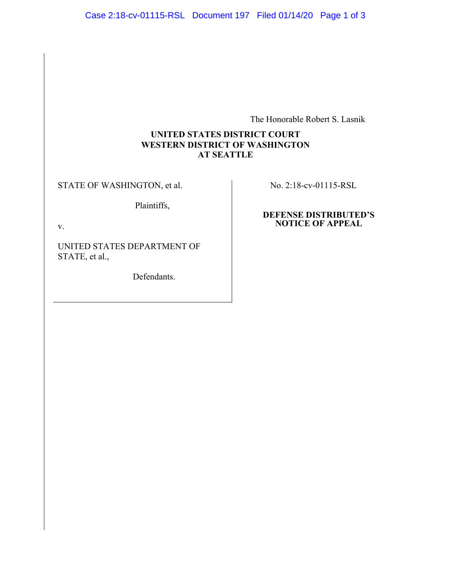The Honorable Robert S. Lasnik

## **UNITED STATES DISTRICT COURT WESTERN DISTRICT OF WASHINGTON AT SEATTLE**

STATE OF WASHINGTON, et al.

Plaintiffs,

v.

UNITED STATES DEPARTMENT OF STATE, et al.,

Defendants.

No. 2:18-cv-01115-RSL

#### **DEFENSE DISTRIBUTED'S NOTICE OF APPEAL**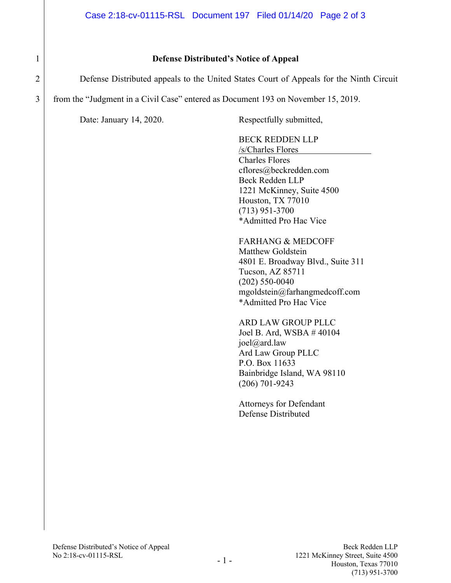# 1 **Defense Distributed's Notice of Appeal**

2 Defense Distributed appeals to the United States Court of Appeals for the Ninth Circuit

3 from the "Judgment in a Civil Case" entered as Document 193 on November 15, 2019.

Date: January 14, 2020. Respectfully submitted,

BECK REDDEN LLP /s/Charles Flores Charles Flores [cflores@beckredden.com](mailto:cflores@beckredden.com) Beck Redden LLP 1221 McKinney, Suite 4500 Houston, TX 77010 (713) 951-3700 \*Admitted Pro Hac Vice

FARHANG & MEDCOFF Matthew Goldstein 4801 E. Broadway Blvd., Suite 311 Tucson, AZ 85711 (202) 550-0040 mgoldstein@farhangmedcoff.com \*Admitted Pro Hac Vice

ARD LAW GROUP PLLC Joel B. Ard, WSBA # 40104 joel@ard.law Ard Law Group PLLC P.O. Box 11633 Bainbridge Island, WA 98110 (206) 701-9243

Attorneys for Defendant Defense Distributed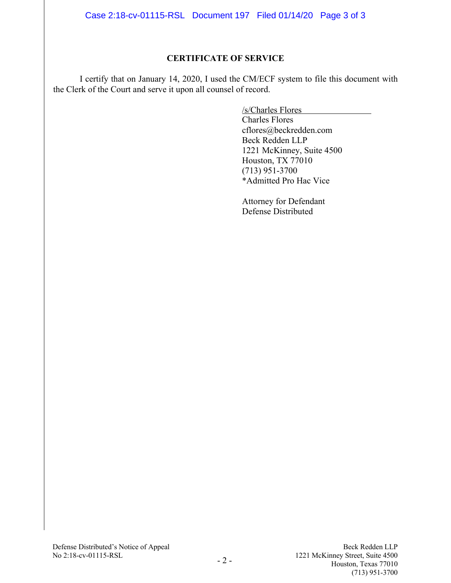Case 2:18-cv-01115-RSL Document 197 Filed 01/14/20 Page 3 of 3

### **CERTIFICATE OF SERVICE**

I certify that on January 14, 2020, I used the CM/ECF system to file this document with the Clerk of the Court and serve it upon all counsel of record.

/s/Charles Flores

Charles Flores [cflores@beckredden.com](mailto:cflores@beckredden.com) Beck Redden LLP 1221 McKinney, Suite 4500 Houston, TX 77010 (713) 951-3700 \*Admitted Pro Hac Vice

Attorney for Defendant Defense Distributed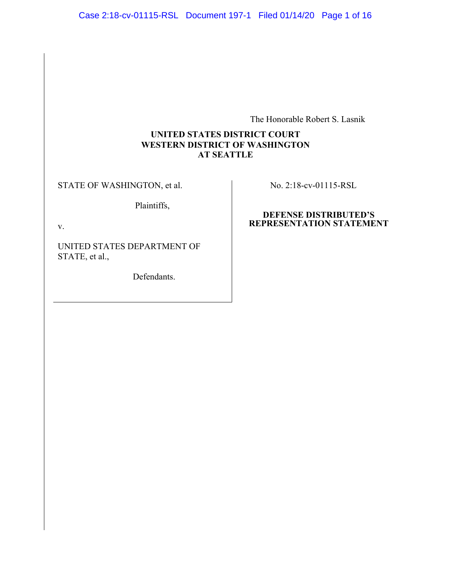The Honorable Robert S. Lasnik

## **UNITED STATES DISTRICT COURT WESTERN DISTRICT OF WASHINGTON AT SEATTLE**

STATE OF WASHINGTON, et al.

Plaintiffs,

v.

UNITED STATES DEPARTMENT OF STATE, et al.,

Defendants.

No. 2:18-cv-01115-RSL

#### **DEFENSE DISTRIBUTED'S REPRESENTATION STATEMENT**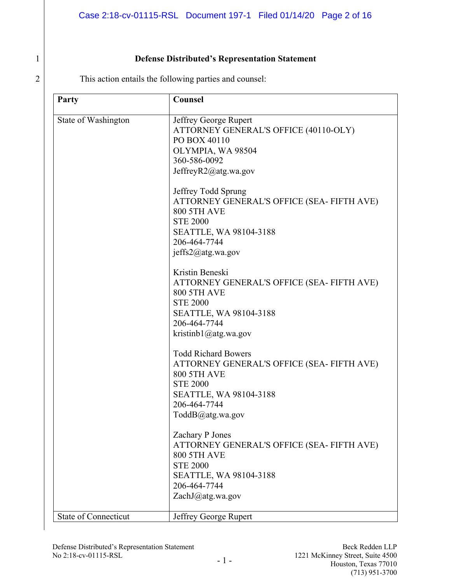# 1 **Defense Distributed's Representation Statement**

2 This action entails the following parties and counsel:

| Party                       | Counsel                                                                                                                                                                         |
|-----------------------------|---------------------------------------------------------------------------------------------------------------------------------------------------------------------------------|
| State of Washington         | Jeffrey George Rupert<br>ATTORNEY GENERAL'S OFFICE (40110-OLY)<br>PO BOX 40110<br>OLYMPIA, WA 98504<br>360-586-0092<br>JeffreyR2@atg.wa.gov                                     |
|                             | Jeffrey Todd Sprung<br>ATTORNEY GENERAL'S OFFICE (SEA- FIFTH AVE)<br><b>800 5TH AVE</b><br><b>STE 2000</b><br>SEATTLE, WA 98104-3188<br>206-464-7744<br>jeffs2@atg.wa.gov       |
|                             | Kristin Beneski<br>ATTORNEY GENERAL'S OFFICE (SEA- FIFTH AVE)<br><b>800 5TH AVE</b><br><b>STE 2000</b><br>SEATTLE, WA 98104-3188<br>206-464-7744<br>kristinb1@atg.wa.gov        |
|                             | <b>Todd Richard Bowers</b><br>ATTORNEY GENERAL'S OFFICE (SEA- FIFTH AVE)<br><b>800 5TH AVE</b><br><b>STE 2000</b><br>SEATTLE, WA 98104-3188<br>206-464-7744<br>ToddB@atg.wa.gov |
|                             | Zachary P Jones<br>ATTORNEY GENERAL'S OFFICE (SEA- FIFTH AVE)<br><b>800 5TH AVE</b><br><b>STE 2000</b><br>SEATTLE, WA 98104-3188<br>206-464-7744<br>ZachJ@atg.wa.gov            |
| <b>State of Connecticut</b> | Jeffrey George Rupert                                                                                                                                                           |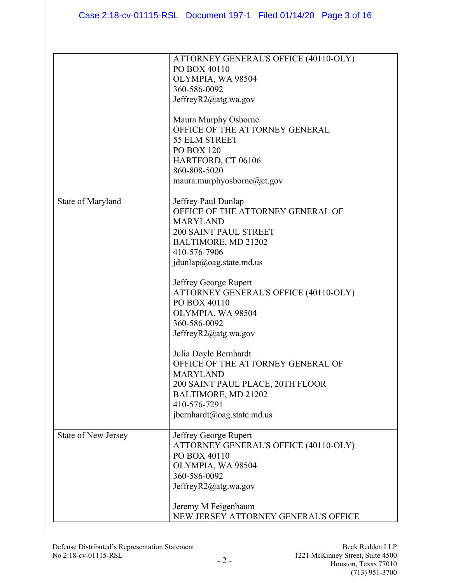|                            | ATTORNEY GENERAL'S OFFICE (40110-OLY)<br>PO BOX 40110<br>OLYMPIA, WA 98504<br>360-586-0092<br>JeffreyR2@atg.wa.gov<br>Maura Murphy Osborne<br>OFFICE OF THE ATTORNEY GENERAL<br>55 ELM STREET<br><b>PO BOX 120</b><br>HARTFORD, CT 06106<br>860-808-5020<br>maura.murphyosborne@ct.gov                                                                                                                                                                                                                                 |
|----------------------------|------------------------------------------------------------------------------------------------------------------------------------------------------------------------------------------------------------------------------------------------------------------------------------------------------------------------------------------------------------------------------------------------------------------------------------------------------------------------------------------------------------------------|
| State of Maryland          | Jeffrey Paul Dunlap<br>OFFICE OF THE ATTORNEY GENERAL OF<br><b>MARYLAND</b><br><b>200 SAINT PAUL STREET</b><br>BALTIMORE, MD 21202<br>410-576-7906<br>jdunlap@oag.state.md.us<br>Jeffrey George Rupert<br>ATTORNEY GENERAL'S OFFICE (40110-OLY)<br>PO BOX 40110<br>OLYMPIA, WA 98504<br>360-586-0092<br>JeffreyR2@atg.wa.gov<br>Julia Doyle Bernhardt<br>OFFICE OF THE ATTORNEY GENERAL OF<br><b>MARYLAND</b><br>200 SAINT PAUL PLACE, 20TH FLOOR<br>BALTIMORE, MD 21202<br>410-576-7291<br>jbernhardt@oag.state.md.us |
| <b>State of New Jersey</b> | Jeffrey George Rupert<br>ATTORNEY GENERAL'S OFFICE (40110-OLY)<br>PO BOX 40110<br>OLYMPIA, WA 98504<br>360-586-0092<br>JeffreyR2@atg.wa.gov<br>Jeremy M Feigenbaum<br>NEW JERSEY ATTORNEY GENERAL'S OFFICE                                                                                                                                                                                                                                                                                                             |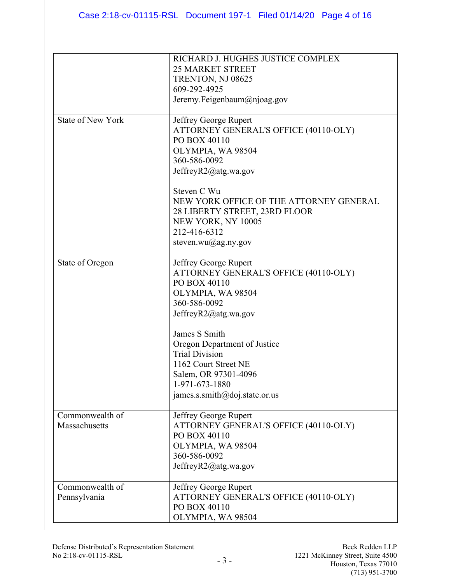|                          | RICHARD J. HUGHES JUSTICE COMPLEX       |
|--------------------------|-----------------------------------------|
|                          | <b>25 MARKET STREET</b>                 |
|                          |                                         |
|                          | TRENTON, NJ 08625                       |
|                          | 609-292-4925                            |
|                          | Jeremy.Feigenbaum@njoag.gov             |
| <b>State of New York</b> | Jeffrey George Rupert                   |
|                          | ATTORNEY GENERAL'S OFFICE (40110-OLY)   |
|                          | PO BOX 40110                            |
|                          | OLYMPIA, WA 98504                       |
|                          | 360-586-0092                            |
|                          | JeffreyR2@atg.wa.gov                    |
|                          |                                         |
|                          | Steven C Wu                             |
|                          | NEW YORK OFFICE OF THE ATTORNEY GENERAL |
|                          | 28 LIBERTY STREET, 23RD FLOOR           |
|                          | NEW YORK, NY 10005                      |
|                          | 212-416-6312                            |
|                          | steven.wu@ag.ny.gov                     |
|                          |                                         |
| State of Oregon          | Jeffrey George Rupert                   |
|                          | ATTORNEY GENERAL'S OFFICE (40110-OLY)   |
|                          | PO BOX 40110                            |
|                          | OLYMPIA, WA 98504                       |
|                          | 360-586-0092                            |
|                          | JeffreyR2@atg.wa.gov                    |
|                          |                                         |
|                          | James S Smith                           |
|                          | Oregon Department of Justice            |
|                          | <b>Trial Division</b>                   |
|                          | 1162 Court Street NE                    |
|                          | Salem, OR 97301-4096                    |
|                          | 1-971-673-1880                          |
|                          | james.s.smith@doj.state.or.us           |
|                          |                                         |
| Commonwealth of          | Jeffrey George Rupert                   |
| Massachusetts            | ATTORNEY GENERAL'S OFFICE (40110-OLY)   |
|                          | PO BOX 40110                            |
|                          | OLYMPIA, WA 98504                       |
|                          | 360-586-0092                            |
|                          | JeffreyR2@atg.wa.gov                    |
|                          |                                         |
| Commonwealth of          | Jeffrey George Rupert                   |
| Pennsylvania             | ATTORNEY GENERAL'S OFFICE (40110-OLY)   |
|                          | PO BOX 40110                            |
|                          | OLYMPIA, WA 98504                       |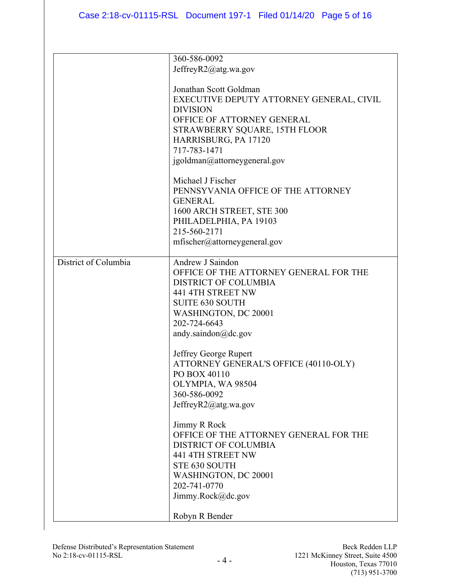|                      | 360-586-0092                             |
|----------------------|------------------------------------------|
|                      | JeffreyR2@atg.wa.gov                     |
|                      |                                          |
|                      |                                          |
|                      | Jonathan Scott Goldman                   |
|                      | EXECUTIVE DEPUTY ATTORNEY GENERAL, CIVIL |
|                      | <b>DIVISION</b>                          |
|                      | OFFICE OF ATTORNEY GENERAL               |
|                      | STRAWBERRY SQUARE, 15TH FLOOR            |
|                      | HARRISBURG, PA 17120                     |
|                      | 717-783-1471                             |
|                      | igoldman@attorneygeneral.gov             |
|                      |                                          |
|                      | Michael J Fischer                        |
|                      |                                          |
|                      | PENNSYVANIA OFFICE OF THE ATTORNEY       |
|                      | <b>GENERAL</b>                           |
|                      | 1600 ARCH STREET, STE 300                |
|                      | PHILADELPHIA, PA 19103                   |
|                      | 215-560-2171                             |
|                      | mfischer@attorneygeneral.gov             |
|                      |                                          |
| District of Columbia | Andrew J Saindon                         |
|                      | OFFICE OF THE ATTORNEY GENERAL FOR THE   |
|                      | <b>DISTRICT OF COLUMBIA</b>              |
|                      | 441 4TH STREET NW                        |
|                      | <b>SUITE 630 SOUTH</b>                   |
|                      |                                          |
|                      | WASHINGTON, DC 20001                     |
|                      | 202-724-6643                             |
|                      | andy.saindon $@$ dc.gov                  |
|                      |                                          |
|                      | Jeffrey George Rupert                    |
|                      | ATTORNEY GENERAL'S OFFICE (40110-OLY)    |
|                      | PO BOX 40110                             |
|                      | OLYMPIA, WA 98504                        |
|                      | 360-586-0092                             |
|                      | JeffreyR2@atg.wa.gov                     |
|                      |                                          |
|                      | Jimmy R Rock                             |
|                      | OFFICE OF THE ATTORNEY GENERAL FOR THE   |
|                      | <b>DISTRICT OF COLUMBIA</b>              |
|                      | 441 4TH STREET NW                        |
|                      | STE 630 SOUTH                            |
|                      |                                          |
|                      | WASHINGTON, DC 20001                     |
|                      | 202-741-0770                             |
|                      | Jimmy.Rock@dc.gov                        |
|                      |                                          |
|                      | Robyn R Bender                           |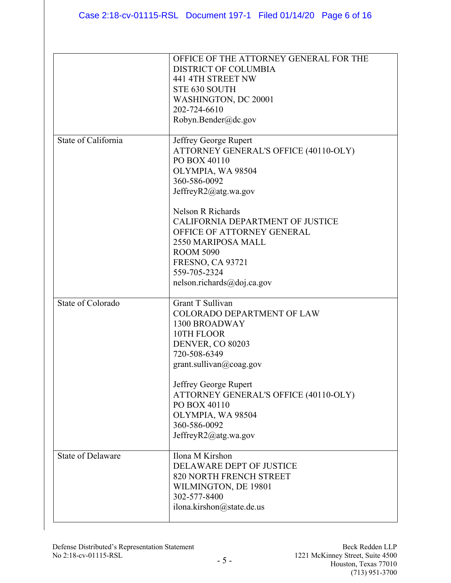|                          | OFFICE OF THE ATTORNEY GENERAL FOR THE<br><b>DISTRICT OF COLUMBIA</b><br>441 4TH STREET NW<br>STE 630 SOUTH<br>WASHINGTON, DC 20001<br>202-724-6610<br>Robyn.Bender@dc.gov                                                                                                                                                                            |
|--------------------------|-------------------------------------------------------------------------------------------------------------------------------------------------------------------------------------------------------------------------------------------------------------------------------------------------------------------------------------------------------|
| State of California      | Jeffrey George Rupert<br>ATTORNEY GENERAL'S OFFICE (40110-OLY)<br>PO BOX 40110<br>OLYMPIA, WA 98504<br>360-586-0092<br>JeffreyR2@atg.wa.gov<br>Nelson R Richards<br>CALIFORNIA DEPARTMENT OF JUSTICE<br>OFFICE OF ATTORNEY GENERAL<br>2550 MARIPOSA MALL<br><b>ROOM 5090</b><br><b>FRESNO, CA 93721</b><br>559-705-2324<br>nelson.richards@doj.ca.gov |
| State of Colorado        | Grant T Sullivan<br><b>COLORADO DEPARTMENT OF LAW</b><br>1300 BROADWAY<br>10TH FLOOR<br>DENVER, CO 80203<br>720-508-6349<br>grant. sullivan@coag.gov<br>Jeffrey George Rupert<br>ATTORNEY GENERAL'S OFFICE (40110-OLY)<br>PO BOX 40110<br>OLYMPIA, WA 98504<br>360-586-0092<br>JeffreyR2@atg.wa.gov                                                   |
| <b>State of Delaware</b> | Ilona M Kirshon<br>DELAWARE DEPT OF JUSTICE<br>820 NORTH FRENCH STREET<br>WILMINGTON, DE 19801<br>302-577-8400<br>ilona.kirshon@state.de.us                                                                                                                                                                                                           |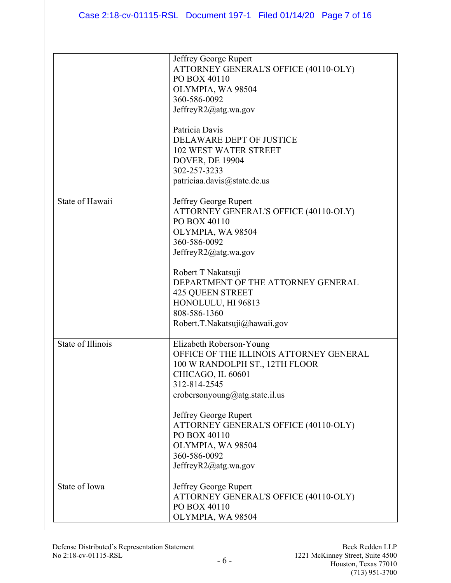|                   | Jeffrey George Rupert<br>ATTORNEY GENERAL'S OFFICE (40110-OLY)<br>PO BOX 40110<br>OLYMPIA, WA 98504<br>360-586-0092<br>JeffreyR2@atg.wa.gov                                                                                                                                                                                 |
|-------------------|-----------------------------------------------------------------------------------------------------------------------------------------------------------------------------------------------------------------------------------------------------------------------------------------------------------------------------|
|                   | Patricia Davis<br><b>DELAWARE DEPT OF JUSTICE</b><br><b>102 WEST WATER STREET</b><br><b>DOVER, DE 19904</b><br>302-257-3233<br>patriciaa.davis@state.de.us                                                                                                                                                                  |
| State of Hawaii   | Jeffrey George Rupert<br>ATTORNEY GENERAL'S OFFICE (40110-OLY)<br>PO BOX 40110<br>OLYMPIA, WA 98504<br>360-586-0092<br>JeffreyR2@atg.wa.gov<br>Robert T Nakatsuji<br>DEPARTMENT OF THE ATTORNEY GENERAL<br><b>425 QUEEN STREET</b><br>HONOLULU, HI 96813<br>808-586-1360<br>Robert.T.Nakatsuji@hawaii.gov                   |
| State of Illinois | Elizabeth Roberson-Young<br>OFFICE OF THE ILLINOIS ATTORNEY GENERAL<br>100 W RANDOLPH ST., 12TH FLOOR<br>CHICAGO, IL 60601<br>312-814-2545<br>erobersonyoung@atg.state.il.us<br>Jeffrey George Rupert<br>ATTORNEY GENERAL'S OFFICE (40110-OLY)<br>PO BOX 40110<br>OLYMPIA, WA 98504<br>360-586-0092<br>JeffreyR2@atg.wa.gov |
| State of Iowa     | Jeffrey George Rupert<br>ATTORNEY GENERAL'S OFFICE (40110-OLY)<br>PO BOX 40110<br>OLYMPIA, WA 98504                                                                                                                                                                                                                         |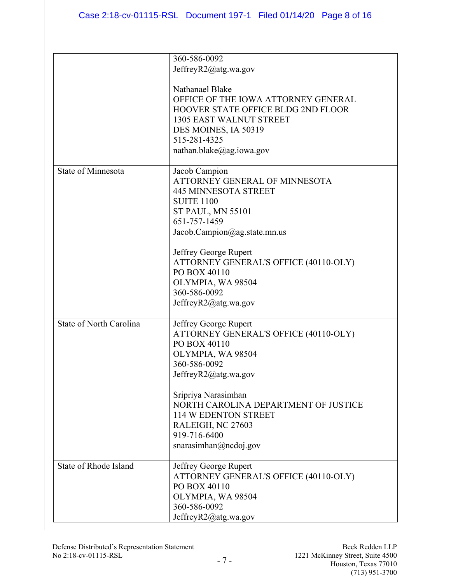|                                | 360-586-0092                              |
|--------------------------------|-------------------------------------------|
|                                | JeffreyR2@atg.wa.gov                      |
|                                |                                           |
|                                | Nathanael Blake                           |
|                                | OFFICE OF THE IOWA ATTORNEY GENERAL       |
|                                |                                           |
|                                | <b>HOOVER STATE OFFICE BLDG 2ND FLOOR</b> |
|                                | <b>1305 EAST WALNUT STREET</b>            |
|                                | DES MOINES, IA 50319                      |
|                                | 515-281-4325                              |
|                                | nathan.blake@ag.iowa.gov                  |
| <b>State of Minnesota</b>      | Jacob Campion                             |
|                                | ATTORNEY GENERAL OF MINNESOTA             |
|                                | <b>445 MINNESOTA STREET</b>               |
|                                | <b>SUITE 1100</b>                         |
|                                | <b>ST PAUL, MN 55101</b>                  |
|                                | 651-757-1459                              |
|                                |                                           |
|                                | Jacob.Campion@ag.state.mn.us              |
|                                | Jeffrey George Rupert                     |
|                                | ATTORNEY GENERAL'S OFFICE (40110-OLY)     |
|                                | PO BOX 40110                              |
|                                | OLYMPIA, WA 98504                         |
|                                | 360-586-0092                              |
|                                |                                           |
|                                | JeffreyR2@atg.wa.gov                      |
| <b>State of North Carolina</b> | Jeffrey George Rupert                     |
|                                | ATTORNEY GENERAL'S OFFICE (40110-OLY)     |
|                                | PO BOX 40110                              |
|                                | OLYMPIA, WA 98504                         |
|                                | 360-586-0092                              |
|                                | JeffreyR2@atg.wa.gov                      |
|                                |                                           |
|                                | Sripriya Narasimhan                       |
|                                | NORTH CAROLINA DEPARTMENT OF JUSTICE      |
|                                | 114 W EDENTON STREET                      |
|                                | RALEIGH, NC 27603                         |
|                                | 919-716-6400                              |
|                                |                                           |
|                                | snarasimhan@ncdoj.gov                     |
| <b>State of Rhode Island</b>   | Jeffrey George Rupert                     |
|                                | ATTORNEY GENERAL'S OFFICE (40110-OLY)     |
|                                | PO BOX 40110                              |
|                                | OLYMPIA, WA 98504                         |
|                                | 360-586-0092                              |
|                                | JeffreyR2@atg.wa.gov                      |
|                                |                                           |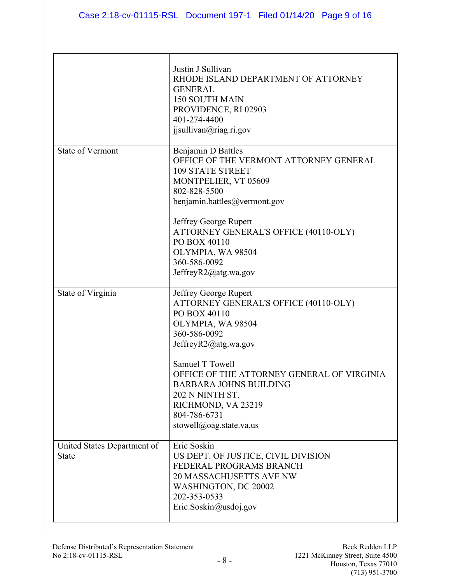|                                             | Justin J Sullivan<br>RHODE ISLAND DEPARTMENT OF ATTORNEY<br><b>GENERAL</b><br><b>150 SOUTH MAIN</b><br>PROVIDENCE, RI 02903<br>401-274-4400<br>jjsullivan@riag.ri.gov              |
|---------------------------------------------|------------------------------------------------------------------------------------------------------------------------------------------------------------------------------------|
| <b>State of Vermont</b>                     | <b>Benjamin D Battles</b><br>OFFICE OF THE VERMONT ATTORNEY GENERAL<br><b>109 STATE STREET</b><br>MONTPELIER, VT 05609<br>802-828-5500<br>benjamin.battles@vermont.gov             |
|                                             | Jeffrey George Rupert<br>ATTORNEY GENERAL'S OFFICE (40110-OLY)<br>PO BOX 40110<br>OLYMPIA, WA 98504<br>360-586-0092<br>JeffreyR2@atg.wa.gov                                        |
| State of Virginia                           | Jeffrey George Rupert<br>ATTORNEY GENERAL'S OFFICE (40110-OLY)<br>PO BOX 40110<br>OLYMPIA, WA 98504<br>360-586-0092<br>JeffreyR2@atg.wa.gov                                        |
|                                             | Samuel T Towell<br>OFFICE OF THE ATTORNEY GENERAL OF VIRGINIA<br><b>BARBARA JOHNS BUILDING</b><br>202 N NINTH ST.<br>RICHMOND, VA 23219<br>804-786-6731<br>stowell@oag.state.va.us |
| United States Department of<br><b>State</b> | Eric Soskin<br>US DEPT. OF JUSTICE, CIVIL DIVISION<br>FEDERAL PROGRAMS BRANCH<br><b>20 MASSACHUSETTS AVE NW</b><br>WASHINGTON, DC 20002<br>202-353-0533<br>Eric.Soskin@usdoj.gov   |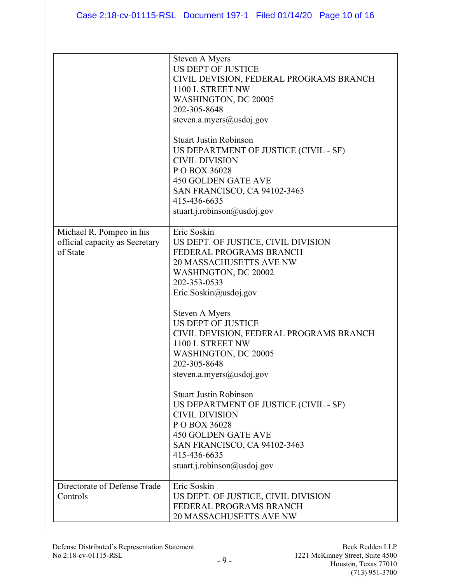|                                                                        | Steven A Myers<br>US DEPT OF JUSTICE<br>CIVIL DEVISION, FEDERAL PROGRAMS BRANCH<br>1100 L STREET NW<br>WASHINGTON, DC 20005<br>202-305-8648<br>steven.a.myers@usdoj.gov                                                                                                                                                                                                                                                                                                                                                                                                                             |
|------------------------------------------------------------------------|-----------------------------------------------------------------------------------------------------------------------------------------------------------------------------------------------------------------------------------------------------------------------------------------------------------------------------------------------------------------------------------------------------------------------------------------------------------------------------------------------------------------------------------------------------------------------------------------------------|
|                                                                        | <b>Stuart Justin Robinson</b><br>US DEPARTMENT OF JUSTICE (CIVIL - SF)<br><b>CIVIL DIVISION</b><br>P O BOX 36028<br><b>450 GOLDEN GATE AVE</b><br>SAN FRANCISCO, CA 94102-3463<br>415-436-6635<br>stuart.j.robinson@usdoj.gov                                                                                                                                                                                                                                                                                                                                                                       |
| Michael R. Pompeo in his<br>official capacity as Secretary<br>of State | Eric Soskin<br>US DEPT. OF JUSTICE, CIVIL DIVISION<br>FEDERAL PROGRAMS BRANCH<br><b>20 MASSACHUSETTS AVE NW</b><br>WASHINGTON, DC 20002<br>202-353-0533<br>Eric.Soskin@usdoj.gov<br>Steven A Myers<br><b>US DEPT OF JUSTICE</b><br>CIVIL DEVISION, FEDERAL PROGRAMS BRANCH<br>1100 L STREET NW<br>WASHINGTON, DC 20005<br>202-305-8648<br>steven.a.myers@usdoj.gov<br><b>Stuart Justin Robinson</b><br>US DEPARTMENT OF JUSTICE (CIVIL - SF)<br><b>CIVIL DIVISION</b><br>P O BOX 36028<br><b>450 GOLDEN GATE AVE</b><br>SAN FRANCISCO, CA 94102-3463<br>415-436-6635<br>stuart.j.robinson@usdoj.gov |
| Directorate of Defense Trade<br>Controls                               | Eric Soskin<br>US DEPT. OF JUSTICE, CIVIL DIVISION<br>FEDERAL PROGRAMS BRANCH<br><b>20 MASSACHUSETTS AVE NW</b>                                                                                                                                                                                                                                                                                                                                                                                                                                                                                     |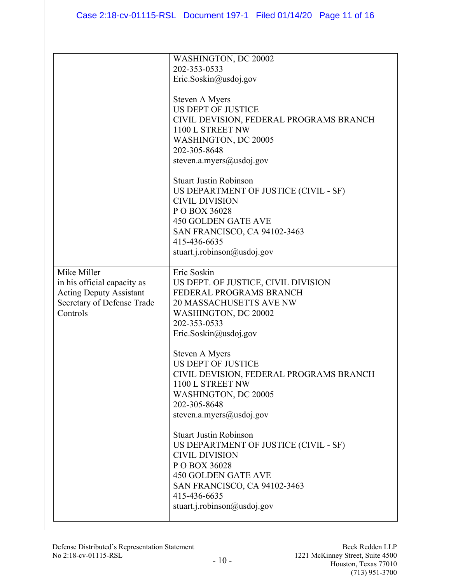|                                | WASHINGTON, DC 20002                    |
|--------------------------------|-----------------------------------------|
|                                | 202-353-0533                            |
|                                | Eric.Soskin@usdoj.gov                   |
|                                |                                         |
|                                | Steven A Myers                          |
|                                | <b>US DEPT OF JUSTICE</b>               |
|                                | CIVIL DEVISION, FEDERAL PROGRAMS BRANCH |
|                                | 1100 L STREET NW                        |
|                                | WASHINGTON, DC 20005                    |
|                                | 202-305-8648                            |
|                                | steven.a.myers@usdoj.gov                |
|                                | <b>Stuart Justin Robinson</b>           |
|                                | US DEPARTMENT OF JUSTICE (CIVIL - SF)   |
|                                | <b>CIVIL DIVISION</b>                   |
|                                | P O BOX 36028                           |
|                                | <b>450 GOLDEN GATE AVE</b>              |
|                                | SAN FRANCISCO, CA 94102-3463            |
|                                | 415-436-6635                            |
|                                | stuart.j.robinson@usdoj.gov             |
|                                |                                         |
| Mike Miller                    | Eric Soskin                             |
| in his official capacity as    | US DEPT. OF JUSTICE, CIVIL DIVISION     |
| <b>Acting Deputy Assistant</b> | FEDERAL PROGRAMS BRANCH                 |
| Secretary of Defense Trade     | <b>20 MASSACHUSETTS AVE NW</b>          |
| Controls                       | WASHINGTON, DC 20002                    |
|                                | 202-353-0533                            |
|                                | Eric.Soskin@usdoj.gov                   |
|                                | Steven A Myers                          |
|                                | <b>US DEPT OF JUSTICE</b>               |
|                                | CIVIL DEVISION, FEDERAL PROGRAMS BRANCH |
|                                | 1100 L STREET NW                        |
|                                | WASHINGTON, DC 20005                    |
|                                | 202-305-8648                            |
|                                | steven.a.myers@usdoj.gov                |
|                                | <b>Stuart Justin Robinson</b>           |
|                                | US DEPARTMENT OF JUSTICE (CIVIL - SF)   |
|                                | <b>CIVIL DIVISION</b>                   |
|                                | P O BOX 36028                           |
|                                | <b>450 GOLDEN GATE AVE</b>              |
|                                | <b>SAN FRANCISCO, CA 94102-3463</b>     |
|                                | 415-436-6635                            |
|                                | stuart.j.robinson@usdoj.gov             |
|                                |                                         |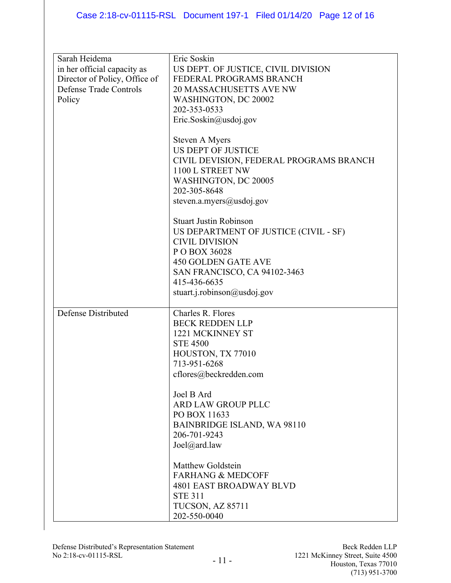| Sarah Heidema                 | Eric Soskin                             |
|-------------------------------|-----------------------------------------|
| in her official capacity as   | US DEPT. OF JUSTICE, CIVIL DIVISION     |
| Director of Policy, Office of | FEDERAL PROGRAMS BRANCH                 |
|                               |                                         |
| Defense Trade Controls        | <b>20 MASSACHUSETTS AVE NW</b>          |
| Policy                        | WASHINGTON, DC 20002                    |
|                               | 202-353-0533                            |
|                               |                                         |
|                               | Eric.Soskin@usdoj.gov                   |
|                               |                                         |
|                               | Steven A Myers                          |
|                               |                                         |
|                               | <b>US DEPT OF JUSTICE</b>               |
|                               | CIVIL DEVISION, FEDERAL PROGRAMS BRANCH |
|                               | 1100 L STREET NW                        |
|                               |                                         |
|                               | WASHINGTON, DC 20005                    |
|                               | 202-305-8648                            |
|                               | steven.a.myers@usdoj.gov                |
|                               |                                         |
|                               |                                         |
|                               | <b>Stuart Justin Robinson</b>           |
|                               | US DEPARTMENT OF JUSTICE (CIVIL - SF)   |
|                               | <b>CIVIL DIVISION</b>                   |
|                               |                                         |
|                               | P O BOX 36028                           |
|                               | <b>450 GOLDEN GATE AVE</b>              |
|                               | SAN FRANCISCO, CA 94102-3463            |
|                               |                                         |
|                               | 415-436-6635                            |
|                               | stuart.j.robinson@usdoj.gov             |
|                               |                                         |
| Defense Distributed           | Charles R. Flores                       |
|                               | <b>BECK REDDEN LLP</b>                  |
|                               |                                         |
|                               | 1221 MCKINNEY ST                        |
|                               | <b>STE 4500</b>                         |
|                               | HOUSTON, TX 77010                       |
|                               |                                         |
|                               | 713-951-6268                            |
|                               | cflores@beckredden.com                  |
|                               |                                         |
|                               | Joel B Ard                              |
|                               |                                         |
|                               | ARD LAW GROUP PLLC                      |
|                               | PO BOX 11633                            |
|                               | <b>BAINBRIDGE ISLAND, WA 98110</b>      |
|                               | 206-701-9243                            |
|                               |                                         |
|                               | Joel@ard.law                            |
|                               |                                         |
|                               | Matthew Goldstein                       |
|                               | <b>FARHANG &amp; MEDCOFF</b>            |
|                               |                                         |
|                               | <b>4801 EAST BROADWAY BLVD</b>          |
|                               | <b>STE 311</b>                          |
|                               | TUCSON, AZ 85711                        |
|                               | 202-550-0040                            |
|                               |                                         |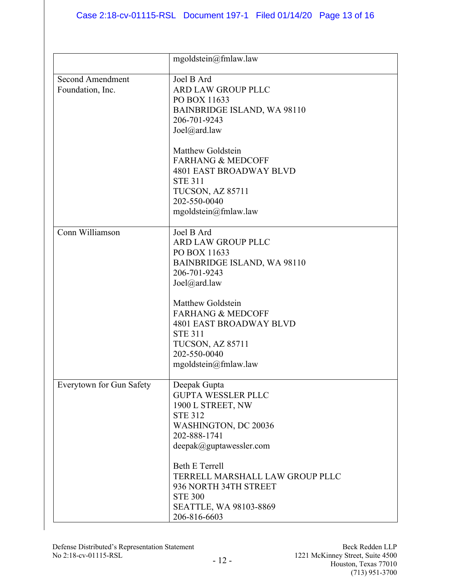|                                             | mgoldstein@fmlaw.law                                                                                                                                                            |
|---------------------------------------------|---------------------------------------------------------------------------------------------------------------------------------------------------------------------------------|
| <b>Second Amendment</b><br>Foundation, Inc. | Joel B Ard<br><b>ARD LAW GROUP PLLC</b><br>PO BOX 11633<br><b>BAINBRIDGE ISLAND, WA 98110</b><br>206-701-9243<br>Joel@ard.law                                                   |
|                                             | <b>Matthew Goldstein</b><br><b>FARHANG &amp; MEDCOFF</b><br><b>4801 EAST BROADWAY BLVD</b><br><b>STE 311</b><br><b>TUCSON, AZ 85711</b><br>202-550-0040<br>mgoldstein@fmlaw.law |
| Conn Williamson                             | Joel B Ard<br>ARD LAW GROUP PLLC<br>PO BOX 11633<br><b>BAINBRIDGE ISLAND, WA 98110</b><br>206-701-9243<br>Joel@ard.law                                                          |
|                                             | <b>Matthew Goldstein</b><br><b>FARHANG &amp; MEDCOFF</b><br><b>4801 EAST BROADWAY BLVD</b><br><b>STE 311</b><br><b>TUCSON, AZ 85711</b><br>202-550-0040<br>mgoldstein@fmlaw.law |
| Everytown for Gun Safety                    | Deepak Gupta<br><b>GUPTA WESSLER PLLC</b><br>1900 L STREET, NW<br><b>STE 312</b><br>WASHINGTON, DC 20036<br>202-888-1741<br>deepak@guptawes sler.com                            |
|                                             | <b>Beth E Terrell</b><br>TERRELL MARSHALL LAW GROUP PLLC<br>936 NORTH 34TH STREET<br><b>STE 300</b><br>SEATTLE, WA 98103-8869<br>206-816-6603                                   |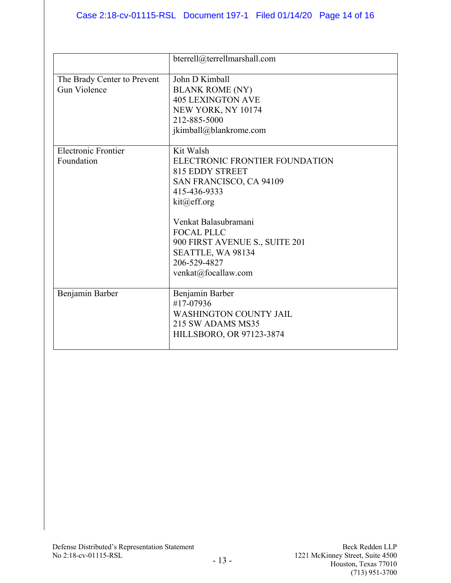|                                                    | bterrell@terrellmarshall.com                                                                                                                                                                                                                                        |
|----------------------------------------------------|---------------------------------------------------------------------------------------------------------------------------------------------------------------------------------------------------------------------------------------------------------------------|
| The Brady Center to Prevent<br><b>Gun Violence</b> | John D Kimball<br><b>BLANK ROME (NY)</b><br><b>405 LEXINGTON AVE</b><br>NEW YORK, NY 10174<br>212-885-5000<br>jkimball@blankrome.com                                                                                                                                |
| <b>Electronic Frontier</b><br>Foundation           | Kit Walsh<br>ELECTRONIC FRONTIER FOUNDATION<br>815 EDDY STREET<br>SAN FRANCISCO, CA 94109<br>415-436-9333<br>kit@eff.org<br>Venkat Balasubramani<br><b>FOCAL PLLC</b><br>900 FIRST AVENUE S., SUITE 201<br>SEATTLE, WA 98134<br>206-529-4827<br>venkat@focallaw.com |
| Benjamin Barber                                    | Benjamin Barber<br>#17-07936<br><b>WASHINGTON COUNTY JAIL</b><br>215 SW ADAMS MS35<br>HILLSBORO, OR 97123-3874                                                                                                                                                      |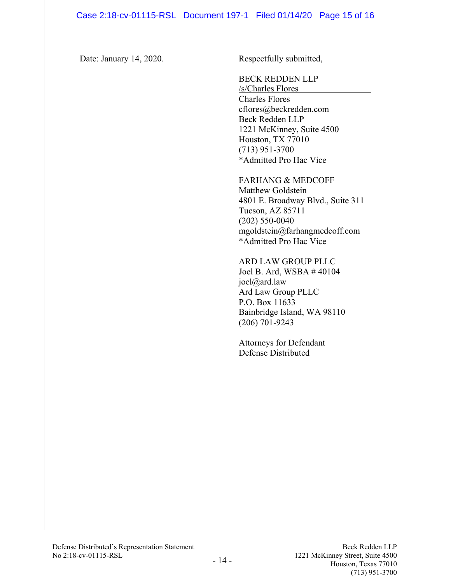Date: January 14, 2020. Respectfully submitted,

BECK REDDEN LLP

/s/Charles Flores Charles Flores [cflores@beckredden.com](mailto:cflores@beckredden.com) Beck Redden LLP 1221 McKinney, Suite 4500 Houston, TX 77010 (713) 951-3700 \*Admitted Pro Hac Vice

FARHANG & MEDCOFF Matthew Goldstein 4801 E. Broadway Blvd., Suite 311 Tucson, AZ 85711 (202) 550-0040 mgoldstein@farhangmedcoff.com \*Admitted Pro Hac Vice

ARD LAW GROUP PLLC Joel B. Ard, WSBA # 40104 joel@ard.law Ard Law Group PLLC P.O. Box 11633 Bainbridge Island, WA 98110 (206) 701-9243

Attorneys for Defendant Defense Distributed